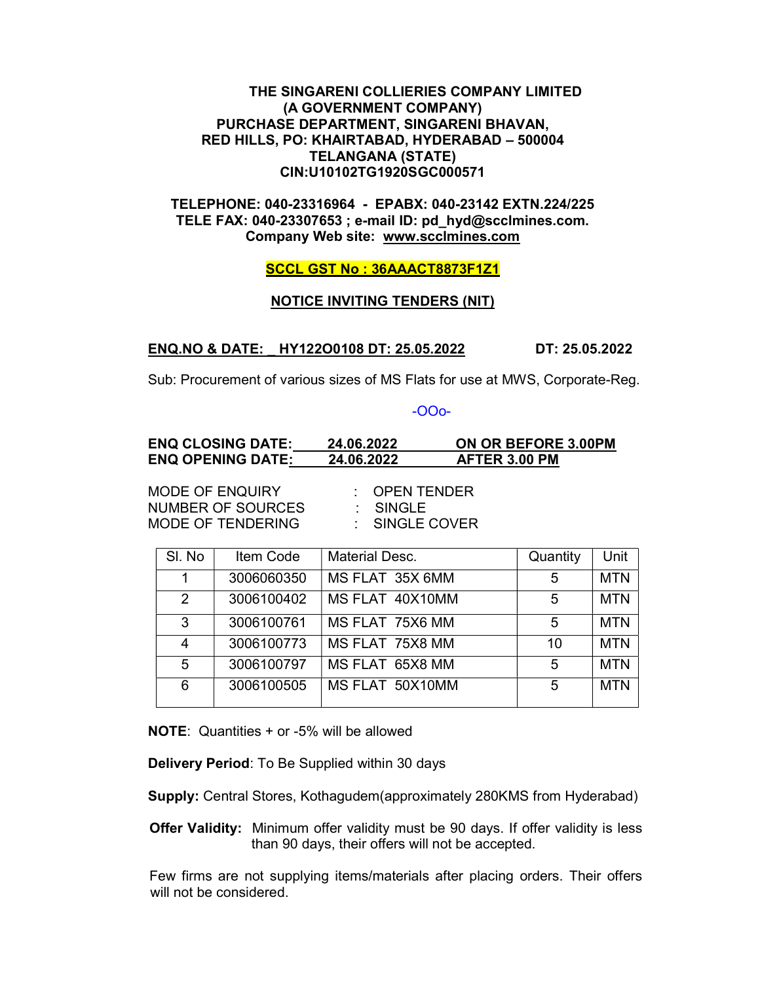## THE SINGARENI COLLIERIES COMPANY LIMITED (A GOVERNMENT COMPANY) PURCHASE DEPARTMENT, SINGARENI BHAVAN, RED HILLS, PO: KHAIRTABAD, HYDERABAD – 500004 TELANGANA (STATE) CIN:U10102TG1920SGC000571

## TELEPHONE: 040-23316964 - EPABX: 040-23142 EXTN.224/225 TELE FAX: 040-23307653 ; e-mail ID: pd\_hyd@scclmines.com. Company Web site: www.scclmines.com

### SCCL GST No : 36AAACT8873F1Z1

#### NOTICE INVITING TENDERS (NIT)

#### ENQ.NO & DATE: \_ HY122O0108 DT: 25.05.2022 DT: 25.05.2022

Sub: Procurement of various sizes of MS Flats for use at MWS, Corporate-Reg.

#### -OOo-

| <b>ENQ CLOSING DATE:</b> | 24.06.2022 | ON OR BEFORE 3.00PM |
|--------------------------|------------|---------------------|
| <b>ENQ OPENING DATE:</b> | 24.06.2022 | AFTER 3.00 PM       |

MODE OF ENQUIRY : OPEN TENDER NUMBER OF SOURCES : SINGLE MODE OF TENDERING : SINGLE COVER

| SI. No         | Item Code  | <b>Material Desc.</b> | Quantity | Unit       |
|----------------|------------|-----------------------|----------|------------|
| 1              | 3006060350 | MS FLAT 35X 6MM       | 5        | <b>MTN</b> |
| 2              | 3006100402 | MS FLAT 40X10MM       | 5        | <b>MTN</b> |
| 3              | 3006100761 | MS FLAT 75X6 MM       | 5        | <b>MTN</b> |
| $\overline{4}$ | 3006100773 | MS FLAT 75X8 MM       | 10       | <b>MTN</b> |
| 5              | 3006100797 | MS FLAT 65X8 MM       | 5        | <b>MTN</b> |
| 6              | 3006100505 | MS FLAT 50X10MM       | 5        | <b>MTN</b> |

NOTE: Quantities + or -5% will be allowed

Delivery Period: To Be Supplied within 30 days

Supply: Central Stores, Kothagudem(approximately 280KMS from Hyderabad)

Offer Validity: Minimum offer validity must be 90 days. If offer validity is less than 90 days, their offers will not be accepted.

Few firms are not supplying items/materials after placing orders. Their offers will not be considered.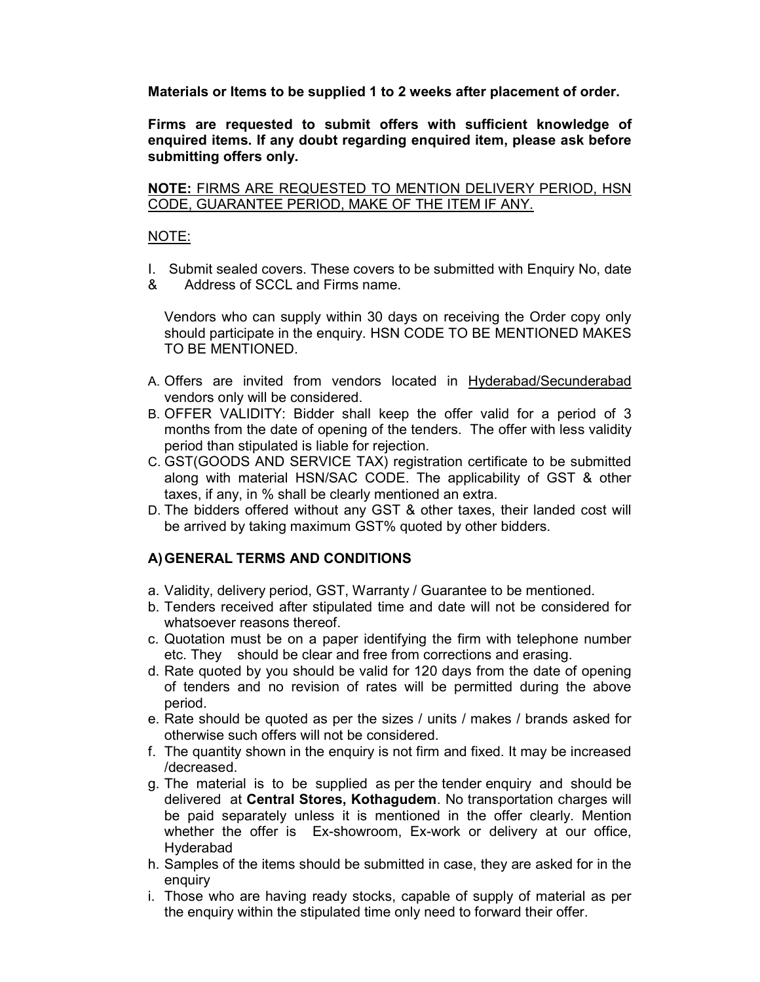Materials or Items to be supplied 1 to 2 weeks after placement of order.

Firms are requested to submit offers with sufficient knowledge of enquired items. If any doubt regarding enquired item, please ask before submitting offers only.

NOTE: FIRMS ARE REQUESTED TO MENTION DELIVERY PERIOD, HSN CODE, GUARANTEE PERIOD, MAKE OF THE ITEM IF ANY.

# NOTE:

- I. Submit sealed covers. These covers to be submitted with Enquiry No, date
- & Address of SCCL and Firms name.

Vendors who can supply within 30 days on receiving the Order copy only should participate in the enquiry. HSN CODE TO BE MENTIONED MAKES TO BE MENTIONED.

- A. Offers are invited from vendors located in Hyderabad/Secunderabad vendors only will be considered.
- B. OFFER VALIDITY: Bidder shall keep the offer valid for a period of 3 months from the date of opening of the tenders. The offer with less validity period than stipulated is liable for rejection.
- C. GST(GOODS AND SERVICE TAX) registration certificate to be submitted along with material HSN/SAC CODE. The applicability of GST & other taxes, if any, in % shall be clearly mentioned an extra.
- D. The bidders offered without any GST & other taxes, their landed cost will be arrived by taking maximum GST% quoted by other bidders.

# A) GENERAL TERMS AND CONDITIONS

- a. Validity, delivery period, GST, Warranty / Guarantee to be mentioned.
- b. Tenders received after stipulated time and date will not be considered for whatsoever reasons thereof.
- c. Quotation must be on a paper identifying the firm with telephone number etc. They should be clear and free from corrections and erasing.
- d. Rate quoted by you should be valid for 120 days from the date of opening of tenders and no revision of rates will be permitted during the above period.
- e. Rate should be quoted as per the sizes / units / makes / brands asked for otherwise such offers will not be considered.
- f. The quantity shown in the enquiry is not firm and fixed. It may be increased /decreased.
- g. The material is to be supplied as per the tender enquiry and should be delivered at Central Stores, Kothagudem. No transportation charges will be paid separately unless it is mentioned in the offer clearly. Mention whether the offer is Ex-showroom, Ex-work or delivery at our office, Hyderabad
- h. Samples of the items should be submitted in case, they are asked for in the enquiry
- i. Those who are having ready stocks, capable of supply of material as per the enquiry within the stipulated time only need to forward their offer.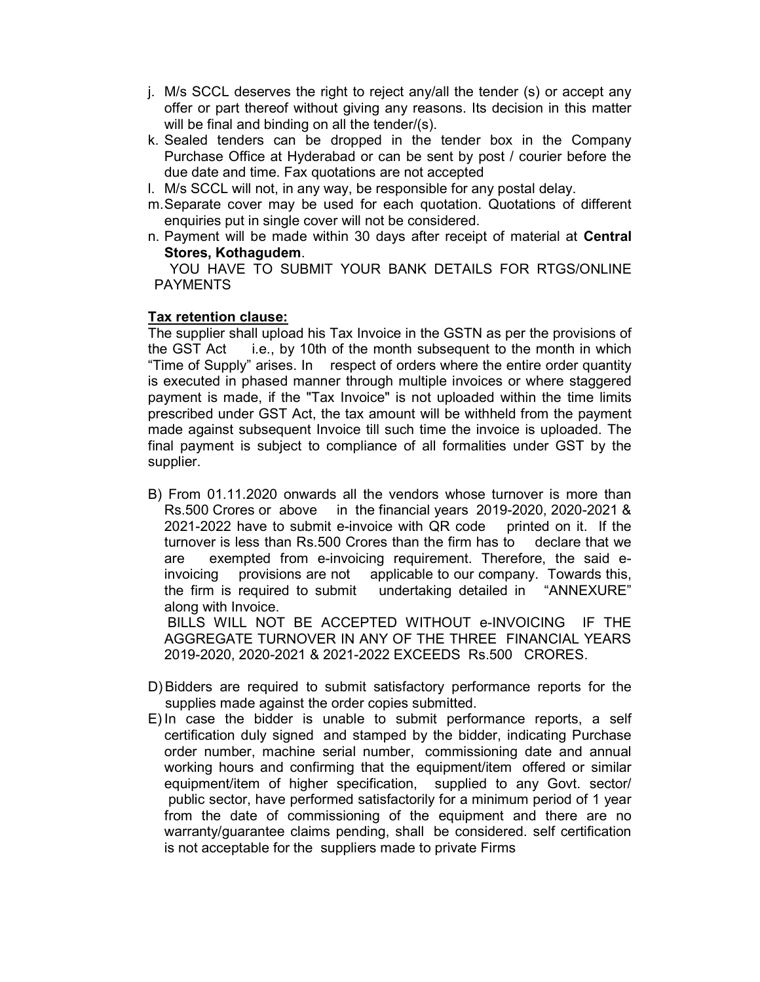- j. M/s SCCL deserves the right to reject any/all the tender (s) or accept any offer or part thereof without giving any reasons. Its decision in this matter will be final and binding on all the tender/(s).
- k. Sealed tenders can be dropped in the tender box in the Company Purchase Office at Hyderabad or can be sent by post / courier before the due date and time. Fax quotations are not accepted
- l. M/s SCCL will not, in any way, be responsible for any postal delay.
- m. Separate cover may be used for each quotation. Quotations of different enquiries put in single cover will not be considered.
- n. Payment will be made within 30 days after receipt of material at Central Stores, Kothagudem.

 YOU HAVE TO SUBMIT YOUR BANK DETAILS FOR RTGS/ONLINE PAYMENTS

# Tax retention clause:

The supplier shall upload his Tax Invoice in the GSTN as per the provisions of the GST Act i.e., by 10th of the month subsequent to the month in which "Time of Supply" arises. In respect of orders where the entire order quantity is executed in phased manner through multiple invoices or where staggered payment is made, if the "Tax Invoice" is not uploaded within the time limits prescribed under GST Act, the tax amount will be withheld from the payment made against subsequent Invoice till such time the invoice is uploaded. The final payment is subject to compliance of all formalities under GST by the supplier.

B) From 01.11.2020 onwards all the vendors whose turnover is more than Rs.500 Crores or above in the financial years 2019-2020, 2020-2021 & 2021-2022 have to submit e-invoice with QR code printed on it. If the turnover is less than Rs.500 Crores than the firm has to declare that we are exempted from e-invoicing requirement. Therefore, the said einvoicing provisions are not applicable to our company. Towards this, the firm is required to submit undertaking detailed in "ANNEXURE" along with Invoice.

 BILLS WILL NOT BE ACCEPTED WITHOUT e-INVOICING IF THE AGGREGATE TURNOVER IN ANY OF THE THREE FINANCIAL YEARS 2019-2020, 2020-2021 & 2021-2022 EXCEEDS Rs.500 CRORES.

- D) Bidders are required to submit satisfactory performance reports for the supplies made against the order copies submitted.
- E) In case the bidder is unable to submit performance reports, a self certification duly signed and stamped by the bidder, indicating Purchase order number, machine serial number, commissioning date and annual working hours and confirming that the equipment/item offered or similar equipment/item of higher specification, supplied to any Govt. sector/ public sector, have performed satisfactorily for a minimum period of 1 year from the date of commissioning of the equipment and there are no warranty/guarantee claims pending, shall be considered. self certification is not acceptable for the suppliers made to private Firms